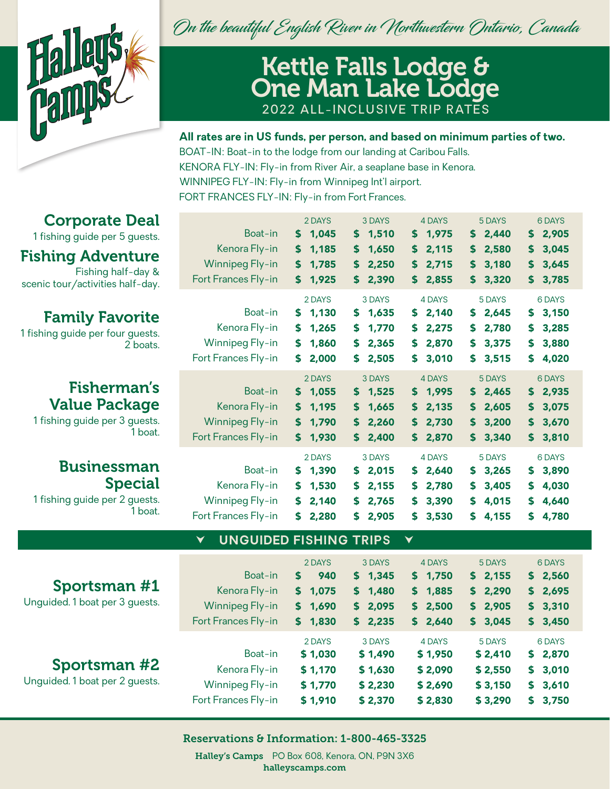



### Kettle Falls Lodge & One Man Lake Lodge 2022 ALL-INCLUSIVE TRIP RATES

**All rates are in US funds, per person, and based on minimum parties of two.** BOAT-IN: Boat-in to the lodge from our landing at Caribou Falls. KENORA FLY-IN: Fly-in from River Air, a seaplane base in Kenora. WINNIPEG FLY-IN: Fly-in from Winnipeg Int'l airport. FORT FRANCES FLY-IN: Fly-in from Fort Frances.

| <b>Corporate Deal</b><br>1 fishing guide per 5 guests.<br><b>Fishing Adventure</b><br>Fishing half-day &<br>scenic tour/activities half-day. | Boat-in<br>Kenora Fly-in<br><b>Winnipeg Fly-in</b><br>Fort Frances Fly-in | 2 DAYS<br>\$1,045<br>\$1,185<br>1,785<br>\$<br>\$1,925<br>2 DAYS | 3 DAYS<br>\$1,510<br>\$1,650<br>\$.<br>2,250<br>\$ 2,390<br>3 DAYS | 4 DAYS<br>\$1,975<br>\$2,115<br>\$2,715<br>\$2,855<br>4 DAYS       | 5 DAYS<br>\$2,440<br>\$2,580<br>3,180<br>\$.<br>\$ 3,320<br>5 DAYS | 6 DAYS<br>\$2,905<br>\$3,045<br>3,645<br>\$.<br>\$3,785<br>6 DAYS |  |
|----------------------------------------------------------------------------------------------------------------------------------------------|---------------------------------------------------------------------------|------------------------------------------------------------------|--------------------------------------------------------------------|--------------------------------------------------------------------|--------------------------------------------------------------------|-------------------------------------------------------------------|--|
| <b>Family Favorite</b><br>1 fishing guide per four guests.<br>2 boats.                                                                       | Boat-in<br>Kenora Fly-in<br>Winnipeg Fly-in<br>Fort Frances Fly-in        | \$1,130<br>1,265<br>\$.<br>S.<br>1,860<br>S.<br>2,000            | \$1,635<br>1,770<br>\$<br>\$<br>2,365<br>\$.<br>2,505              | \$2,140<br>2,275<br>S.<br>\$.<br>2,870<br>3,010<br>S.              | \$2,645<br>2,780<br>\$.<br>3,375<br>\$.<br>\$3,515                 | \$3,150<br>3,285<br>\$.<br>3,880<br>\$<br>\$4,020                 |  |
| <b>Fisherman's</b><br><b>Value Package</b><br>1 fishing guide per 3 guests.<br>1 boat.                                                       | Boat-in<br>Kenora Fly-in<br><b>Winnipeg Fly-in</b><br>Fort Frances Fly-in | 2 DAYS<br>\$1,055<br>1,195<br>S.<br>1,790<br>S.<br>S.<br>1,930   | 3 DAYS<br>\$1,525<br>\$1,665<br>2,260<br>S.<br>2,400<br>S.         | 4 DAYS<br>\$1,995<br>\$2,135<br>\$2,730<br>\$2,870                 | 5 DAYS<br>\$2,465<br>\$2,605<br>3,200<br>s.<br>\$3,340             | 6 DAYS<br>\$2,935<br>\$3,075<br>3,670<br>S.<br>\$3,810            |  |
| <b>Businessman</b><br><b>Special</b><br>1 fishing guide per 2 guests.<br>1 boat.                                                             | Boat-in<br>Kenora Fly-in<br>Winnipeg Fly-in<br>Fort Frances Fly-in        | 2 DAYS<br>\$1,390<br>1,530<br>\$.<br>2,140<br>S.<br>\$.<br>2,280 | 3 DAYS<br>2,015<br>S.<br>2,155<br>S.<br>2,765<br>S<br>S.<br>2,905  | 4 DAYS<br>2,640<br>S.<br>2,780<br>\$<br>3,390<br>\$<br>S.<br>3,530 | 5 DAYS<br>\$3,265<br>3,405<br>\$<br>S.<br>4,015<br>4,155<br>S.     | 6 DAYS<br>\$3,890<br>4,030<br>\$.<br>\$.<br>4,640<br>\$4,780      |  |
| <b>UNGUIDED FISHING TRIPS</b><br>$\blacktriangledown$<br>∀                                                                                   |                                                                           |                                                                  |                                                                    |                                                                    |                                                                    |                                                                   |  |
| Sportsman #1<br>Unguided. 1 boat per 3 guests.                                                                                               | Boat-in<br>Kenora Fly-in<br><b>Winnipeg Fly-in</b><br>Fort Frances Fly-in | 2 DAYS<br>\$<br>940<br>1,075<br>S.<br>1,690<br>\$<br>1,830<br>S. | 3 DAYS<br>\$1,345<br>1,480<br>\$<br>2,095<br>\$<br>\$2,235         | 4 DAYS<br>\$1,750<br>1,885<br>\$.<br>2,500<br>\$.<br>\$ 2,640      | 5 DAYS<br>\$2,155<br>2,290<br>\$<br>\$2,905<br>\$3,045             | 6 DAYS<br>\$2,560<br>\$2,695<br>\$3,310<br>\$3,450                |  |
| Sportsman #2<br>Unguided. 1 boat per 2 guests.                                                                                               | Boat-in<br>Kenora Fly-in<br>Winnipeg Fly-in<br>Fort Frances Fly-in        | 2 DAYS<br>\$1,030<br>\$1,170<br>\$1,770<br>\$1,910               | 3 DAYS<br>\$1,490<br>\$1,630<br>\$2,230<br>\$2,370                 | 4 DAYS<br>\$1,950<br>\$2,090<br>\$2,690<br>\$2,830                 | 5 DAYS<br>\$2,410<br>\$2,550<br>\$3,150<br>\$3,290                 | 6 DAYS<br>\$2,870<br>3,010<br>\$.<br>3,610<br>S.<br>\$<br>3,750   |  |

Reservations & Information: 1-800-465-3325

Halley's Camps PO Box 608, Kenora, ON, P9N 3X6 halleyscamps.com